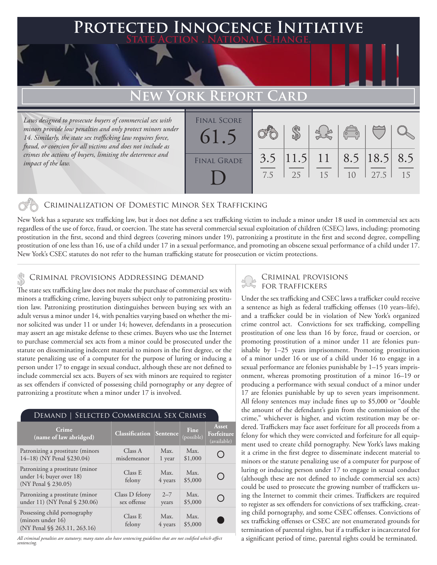# **PTED INNOCENCE INITIATIVE State Action . National Change.**

# **EW YORK REPORT CARD**

*Laws designed to prosecute buyers of commercial sex with minors provide low penalties and only protect minors under 14. Similarly, the state sex trafficking law requires force, fraud, or coercion for all victims and does not include as crimes the actions of buyers, limiting the deterrence and impact of the law.*

| <b>FINAL SCORE</b><br>61.5 |            | er<br>Gla |                                      | $\begin{pmatrix} 0 & 0 \\ 0 & 0 \end{pmatrix}$ |      |    |
|----------------------------|------------|-----------|--------------------------------------|------------------------------------------------|------|----|
| <b>FINAL GRADE</b>         | 3.5<br>7.5 | 25        | $ 11.5 $ 11   8.5   18.5   8.5<br>15 | 1 <sub>0</sub>                                 | 27.5 | 15 |

### Criminalization of Domestic Minor Sex Trafficking

New York has a separate sex trafficking law, but it does not define a sex trafficking victim to include a minor under 18 used in commercial sex acts regardless of the use of force, fraud, or coercion. The state has several commercial sexual exploitation of children (CSEC) laws, including: promoting prostitution in the first, second and third degrees (covering minors under 19), patronizing a prostitute in the first and second degree, compelling prostitution of one less than 16, use of a child under 17 in a sexual performance, and promoting an obscene sexual performance of a child under 17. New York's CSEC statutes do not refer to the human trafficking statute for prosecution or victim protections.

### Criminal provisions Addressing demand \$

The state sex trafficking law does not make the purchase of commercial sex with minors a trafficking crime, leaving buyers subject only to patronizing prostitution law. Patronizing prostitution distinguishes between buying sex with an adult versus a minor under 14, with penalties varying based on whether the minor solicited was under 11 or under 14; however, defendants in a prosecution may assert an age mistake defense to these crimes. Buyers who use the Internet to purchase commercial sex acts from a minor could be prosecuted under the statute on disseminating indecent material to minors in the first degree, or the statute penalizing use of a computer for the purpose of luring or inducing a person under 17 to engage in sexual conduct, although these are not defined to include commercial sex acts. Buyers of sex with minors are required to register as sex offenders if convicted of possessing child pornography or any degree of patronizing a prostitute when a minor under 17 is involved.

#### Demand | Selected Commercial Sex Crimes

| <b>Crime</b><br>(name of law abridged)                                             | <b>Classification Sentence</b> |                  | <b>Fine</b><br>(possible) | Asset<br>Forfeiture<br>(available) |
|------------------------------------------------------------------------------------|--------------------------------|------------------|---------------------------|------------------------------------|
| Patronizing a prostitute (minors<br>14-18) (NY Penal §230.04)                      | Class A<br>misdemeanor         | Max.<br>1 year   | Max.<br>\$1,000           |                                    |
| Patronizing a prostitute (minor<br>under 14; buyer over 18)<br>(NY Penal § 230.05) | Class E<br>felony              | Max.<br>4 years  | Max.<br>\$5,000           | ( )                                |
| Patronizing a prostitute (minor<br>under 11) (NY Penal § 230.06)                   | Class D felony<br>sex offense  | $2 - 7$<br>years | Max.<br>\$5,000           |                                    |
| Possessing child pornography<br>(minors under 16)<br>(NY Penal §§ 263.11, 263.16)  | Class E<br>felony              | Max.<br>4 years  | Max.<br>\$5,000           |                                    |

*All criminal penalties are statutory; many states also have sentencing guidelines that are not codified which affect sentencing.* 

## Criminal provisions for traffickers

Under the sex trafficking and CSEC laws a trafficker could receive a sentence as high as federal trafficking offenses (10 years–life), and a trafficker could be in violation of New York's organized crime control act. Convictions for sex trafficking, compelling prostitution of one less than 16 by force, fraud or coercion, or promoting prostitution of a minor under 11 are felonies punishable by 1–25 years imprisonment. Promoting prostitution of a minor under 16 or use of a child under 16 to engage in a sexual performance are felonies punishable by 1–15 years imprisonment, whereas promoting prostitution of a minor 16–19 or producing a performance with sexual conduct of a minor under 17 are felonies punishable by up to seven years imprisonment. All felony sentences may include fines up to \$5,000 or "double the amount of the defendant's gain from the commission of the crime," whichever is higher, and victim restitution may be ordered. Traffickers may face asset forfeiture for all proceeds from a felony for which they were convicted and forfeiture for all equipment used to create child pornography. New York's laws making it a crime in the first degree to disseminate indecent material to minors or the statute penalizing use of a computer for purpose of luring or inducing person under 17 to engage in sexual conduct (although these are not defined to include commercial sex acts) could be used to prosecute the growing number of traffickers using the Internet to commit their crimes. Traffickers are required to register as sex offenders for convictions of sex trafficking, creating child pornography, and some CSEC offenses. Convictions of sex trafficking offenses or CSEC are not enumerated grounds for termination of parental rights, but if a trafficker is incarcerated for a significant period of time, parental rights could be terminated.